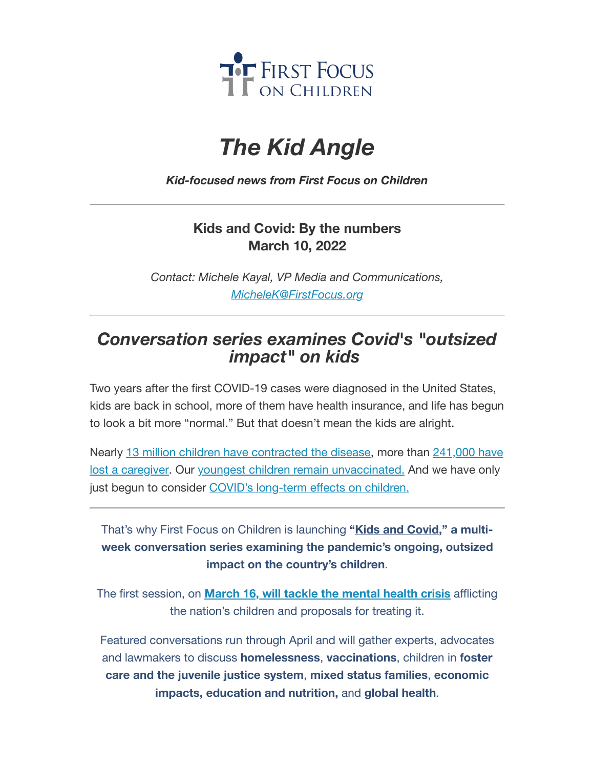

# *The Kid Angle*

*Kid-focused news from First Focus on Children*

## **Kids and Covid: By the numbers March 10, 2022**

*Contact: Michele Kayal, VP Media and Communications, [MicheleK@FirstFocus.org](mailto:MicheleK@firstfocus.org)*

# *Conversation series examines Covid's "outsized impact" on kids*

Two years after the first COVID-19 cases were diagnosed in the United States, kids are back in school, more of them have health insurance, and life has begun to look a bit more "normal." But that doesn't mean the kids are alright.

Nearly 13 million children have [contracted](https://action.campaignforchildren.org/r?u=SrOWKcYa5uCbTZFUm0wkTKPRAyA86MHFLWPsvVG0hAxmYXRVRWLzdP1w5CDJR9PIr4uh_hgGZancabM29zezDXKAaqO-mGcQsBaFqem8qkH4lmiELdyzBYuTP_svZhDe4tJ7cps9Q2iziDCzn6rt3TrH6rDnmqixtVa1xOw46jc&e=6d50ef9bac605c372bd31a2e7c9cacfd&utm_source=ffcc&utm_medium=email&utm_campaign=_91_supporters&n=3&test_email=1) the disease, more than 241,000 have lost a caregiver. Our youngest children remain [unvaccinated.](https://action.campaignforchildren.org/r?u=EtwPAQlyomc4YLfIIdf97uTZUTVwD3VRAF4yWCKqbVTkDVo3EFDYSO9ywQlpXLtzUC6k4cNiqSaHBq0RlfvDPFJUmYSkf0v0c6DpYkJPB7zwEDDahix8w9uEPGdmYgkRz2JUQN5cG020iXFsYQoTTA&e=6d50ef9bac605c372bd31a2e7c9cacfd&utm_source=ffcc&utm_medium=email&utm_campaign=_91_supporters&n=4&test_email=1) And we have only just begun to consider [COVID's long-term](https://action.campaignforchildren.org/r?u=EKKsC96leLUZzhX2680E7pSSvrWRjQx0ZGznO3Iu5JXzd6dBURj81XY9Hi1-d-Ve_xbcipQ9qmX9JyiskGCjR1rl1BX2_B5en2SMT3dP2YA5bSfw_9eRxMsmo-zJbsC8&e=6d50ef9bac605c372bd31a2e7c9cacfd&utm_source=ffcc&utm_medium=email&utm_campaign=_91_supporters&n=6&test_email=1) effects on children.

That's why First Focus on Children is launching **"Kids and [Covid,](https://join.firstfocus.org/kidsandcovid?e=6d50ef9bac605c372bd31a2e7c9cacfd&utm_source=ffcc&utm_medium=email&utm_campaign=_91_supporters&n=7&test_email=1)" a multiweek conversation series examining the pandemic's ongoing, outsized impact on the country's children**.

The first session, on **March 16, will tackle the [mental](https://action.campaignforchildren.org/r?u=FKj2_HeMfIZMk8e0DimQeIeNDyZ5ClNlJPPXTWghqGUCE6CH6Wynv_s1ouHKdFfa&e=6d50ef9bac605c372bd31a2e7c9cacfd&utm_source=ffcc&utm_medium=email&utm_campaign=_91_supporters&n=8&test_email=1) health crisis** afflicting the nation's children and proposals for treating it.

Featured conversations run through April and will gather experts, advocates and lawmakers to discuss **homelessness**, **vaccinations**, children in **foster care and the juvenile justice system**, **mixed status families**, **economic impacts, education and nutrition,** and **global health**.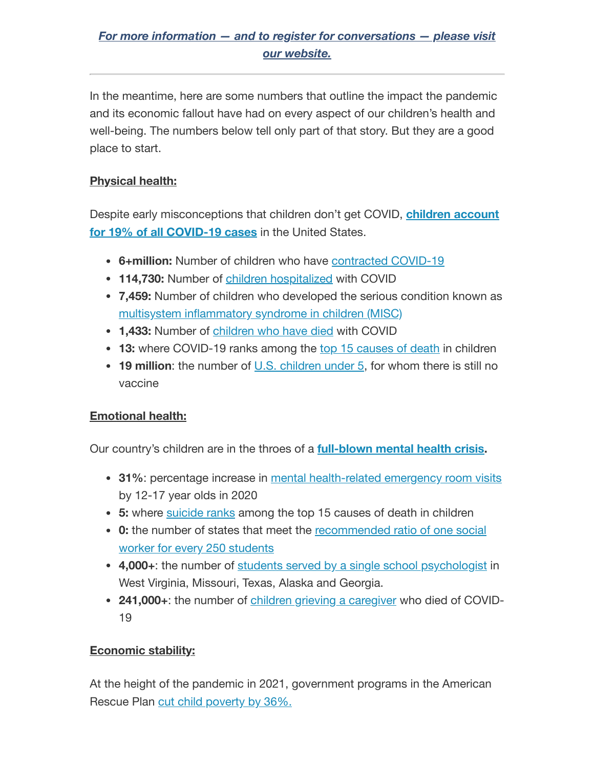### *For more information — and to register for [conversations](https://join.firstfocus.org/kidsandcovid?e=6d50ef9bac605c372bd31a2e7c9cacfd&utm_source=ffcc&utm_medium=email&utm_campaign=_91_supporters&n=9&test_email=1) — please visit our website.*

In the meantime, here are some numbers that outline the impact the pandemic and its economic fallout have had on every aspect of our children's health and well-being. The numbers below tell only part of that story. But they are a good place to start.

#### **Physical health:**

Despite [early misconceptions that](https://action.campaignforchildren.org/r?u=SrOWKcYa5uCbTZFUm0wkTKPRAyA86MHFLWPsvVG0hAxmYXRVRWLzdP1w5CDJR9PIr4uh_hgGZancabM29zezDXKAaqO-mGcQsBaFqem8qkH4lmiELdyzBYuTP_svZhDe4tJ7cps9Q2iziDCzn6rt3TrH6rDnmqixtVa1xOw46jc&e=6d50ef9bac605c372bd31a2e7c9cacfd&utm_source=ffcc&utm_medium=email&utm_campaign=_91_supporters&n=10&test_email=1) children don't get COVID, **children account for 19% of all COVID-19 cases** in the United States.

- **6+million:** Number of children who have [contracted](https://action.campaignforchildren.org/r?u=SrOWKcYa5uCbTZFUm0wkTKPRAyA86MHFLWPsvVG0hAxmYXRVRWLzdP1w5CDJR9PIr4uh_hgGZancabM29zezDXKAaqO-mGcQsBaFqem8qkH4lmiELdyzBYuTP_svZhDe4tJ7cps9Q2iziDCzn6rt3TrH6rDnmqixtVa1xOw46jc&e=6d50ef9bac605c372bd31a2e7c9cacfd&utm_source=ffcc&utm_medium=email&utm_campaign=_91_supporters&n=11&test_email=1) COVID-19
- **114,730:** Number of children [hospitalized](https://action.campaignforchildren.org/r?u=2cia1VJtiEWQ0pTvjkcPsbKGfzIGrJnKQxiohB0vnU1KwQY18CpUrZaUKwURTHNYdlIU8RbeGZe4ggs_gcq6NPIrwEggvP4AGBQ93AoJ9Bo&e=6d50ef9bac605c372bd31a2e7c9cacfd&utm_source=ffcc&utm_medium=email&utm_campaign=_91_supporters&n=12&test_email=1) with COVID
- **7,459:** Number of children who developed the serious condition known as multisystem [inflammatory syndrome](https://action.campaignforchildren.org/r?u=2cia1VJtiEWQ0pTvjkcPsbKGfzIGrJnKQxiohB0vnU2LK9jWuM_RA7PKDHHGAY2BokFGN6dKgDX6ebkedhM6K8eAJT5VM5KLh3-soFpKZ7A&e=6d50ef9bac605c372bd31a2e7c9cacfd&utm_source=ffcc&utm_medium=email&utm_campaign=_91_supporters&n=13&test_email=1) in children (MISC)
- **1,433:** Number of [children](https://action.campaignforchildren.org/r?u=2cia1VJtiEWQ0pTvjkcPsbKGfzIGrJnKQxiohB0vnU2DaH_Kn5Crs8b27sDSPMD0eLaOZLomIKchkode59d3-w&e=6d50ef9bac605c372bd31a2e7c9cacfd&utm_source=ffcc&utm_medium=email&utm_campaign=_91_supporters&n=14&test_email=1) who have died with COVID
- **13:** where COVID-19 ranks among the top 15 [causes of](https://action.campaignforchildren.org/r?u=jifRqMMFXJr4nG-GSwtwakj2m8XXTbxDFJ0cViTR_3ZqPTPvJNdbs_haj3TcKiIG-TeUDQyWYRwETyfj8f4Vyw&e=6d50ef9bac605c372bd31a2e7c9cacfd&utm_source=ffcc&utm_medium=email&utm_campaign=_91_supporters&n=15&test_email=1) death in children
- **19 million:** the number of U.S. [children](https://action.campaignforchildren.org/r?u=wSzIS5EVhv86D7JDIF5fPVTx1jk-EIfx3SepINVQPJLhGYVNBBSkoxWz0vGOrx9gx4cHF4mMMpk0ZyA3TbhTR7K_VEGi7gVksd1JA7vosiViaP9A4v3oJGRQVIFNYMlbkaHYgf3p_w_L3tqx_KD-rm1Mx4VRI24gGeZW_zfH8Q-ZtPu3ua-GNlL06K1bFWCDGqDJUDYp6SIIt5n8iaLV02duZubPHc-ginPf7_in96w&e=6d50ef9bac605c372bd31a2e7c9cacfd&utm_source=ffcc&utm_medium=email&utm_campaign=_91_supporters&n=16&test_email=1) under 5, for whom there is still no vaccine

#### **Emotional health:**

Our country's children are in the throes of a **[full-blown](https://action.campaignforchildren.org/r?u=q_zOzmehU1NTpq0Mj3XVm4Dx9SfQON-FqTCiTKSlWJmkxJFQs9vqRI4Rp4MJeZ1Nk_2jLKiwS81sKUd1ijW02jzKGTiVR5TdNvDHcXINpml3Z4jhYVDX75gdF-wB3Mw66aAe1-UjkFSy48ZiXmk_ipcZx4iQcp9vYJwjBymijiGUNmwxv7QSsZoVdqiMBS8OjdRXZ_c3he2CkmnusMI-5Cb5BNRcFtMjThKsPgKwnClEbWlxQBXXdh5SIbUSo_LbztsP1VGYtMG1lr4JcGNrtmqTZTDJyWNwSXKQg2SN89gKPdCVz3b3JUG-aGP49ziIj6cJW6JXgY023xlGzb7CT5H9Jf3V-an2NU6x8fXS5oZHBsB93hB8OYzKYQb3b2OUF64i6wfEyes7MMpieThgiMAKdtrzXudLiGhc_G-YBMD6382NGS-OY7wd30hQeK_Mr-lg7ywZGdLl5OhMaeOKcDsCUao0MU8SHQa0hnYSoZNadD_RUzC8koQY1u3BLa-5DYcoGilZCWRibqdw86QLhOL7UDcSbVJypB-2mIkg_ouzmZJAFWGqlq_M1A6K0UlkWqY1WmgtbSeaJIlj_WqcNClm2Ooz5eOrgfmYJ9aSU3slJtdV_0exy9k1Klbk-NzDRPbXFhOAowqTJc2Vb1J3kDGRxjxbc9zoVug13w6AAaSq6mQbjiUE6X7YjS3S2Zs6EgoP9Y77IPW33Fvc3KzRWXnRTLOcX9RSct4LMGOMFMLGv6trHBSUnchG6Q_vnI2E-6jFMcuJtNCWB_Nbk_tSKUCFniE7ouvT137fXz3bBH8maEdlGlhp_GjoAIZwf6iOBM9Zs6iPwG1KzEzjbFcTF19dXhVBAIu4yl1uaL4fYUa0x78YfG73XJBQ_9Wn01wXJt1L871LB8cowZlQUxOw-o1x1HPzlCbsnuK_YVrRVj4&e=6d50ef9bac605c372bd31a2e7c9cacfd&utm_source=ffcc&utm_medium=email&utm_campaign=_91_supporters&n=17&test_email=1) mental health crisis.**

- **31%**: percentage increase in mental health-related [emergency room](https://action.campaignforchildren.org/r?u=7Ho65PobbrrlpD_Ow9Pq_5qxi3D0XjhnCTNXMeHaQLp5YfYHMM4bBKCoCEndfMSDlrBzmKEhIZBsqKbgxlSqfg&e=6d50ef9bac605c372bd31a2e7c9cacfd&utm_source=ffcc&utm_medium=email&utm_campaign=_91_supporters&n=18&test_email=1) visits by 12-17 year olds in 2020
- **5:** where [suicide](https://action.campaignforchildren.org/r?u=jifRqMMFXJr4nG-GSwtwakj2m8XXTbxDFJ0cViTR_3ZqPTPvJNdbs_haj3TcKiIG-TeUDQyWYRwETyfj8f4Vyw&e=6d50ef9bac605c372bd31a2e7c9cacfd&utm_source=ffcc&utm_medium=email&utm_campaign=_91_supporters&n=19&test_email=1) ranks among the top 15 causes of death in children
- **0:** the number of states that meet the [recommended](https://action.campaignforchildren.org/r?u=Itwz3WbeTUl9jIiAnEnfmysspRB-nSrn5HNjmMc7qNY&e=6d50ef9bac605c372bd31a2e7c9cacfd&utm_source=ffcc&utm_medium=email&utm_campaign=_91_supporters&n=20&test_email=1) ratio of one social worker for every 250 students
- **4,000+**: the number of [students served](https://action.campaignforchildren.org/r?u=Itwz3WbeTUl9jIiAnEnfmysspRB-nSrn5HNjmMc7qNY&e=6d50ef9bac605c372bd31a2e7c9cacfd&utm_source=ffcc&utm_medium=email&utm_campaign=_91_supporters&n=21&test_email=1) by a single school psychologist in West Virginia, Missouri, Texas, Alaska and Georgia.
- **241,000+**: the number of children grieving a [caregiver](https://action.campaignforchildren.org/r?u=EtwPAQlyomc4YLfIIdf97uTZUTVwD3VRAF4yWCKqbVTkDVo3EFDYSO9ywQlpXLtzUC6k4cNiqSaHBq0RlfvDPFJUmYSkf0v0c6DpYkJPB7zwEDDahix8w9uEPGdmYgkRz2JUQN5cG020iXFsYQoTTA&e=6d50ef9bac605c372bd31a2e7c9cacfd&utm_source=ffcc&utm_medium=email&utm_campaign=_91_supporters&n=22&test_email=1) who died of COVID-19

#### **Economic stability:**

At the height of the pandemic in 2021, government programs in the American Rescue Plan cut child [poverty by 36%.](https://action.campaignforchildren.org/r?u=PM3L4eLuVIDd8mSB5TLhw9oqG_6ENwLPfiVZ2XAVmRLtetpLOxLkqUlMq_gKUe8IBMCJblp7srd7a0g7M-ay55qsGzgPXowxLo8y_uARdTPvvh8Nj7ZUny9osRYaxDj2CAU3XIBA2g2VwW8nSyZ5tSuyKmMJC74qJZ2PnnY11OAGVjUMZmty1GVhbmi2iY72&e=6d50ef9bac605c372bd31a2e7c9cacfd&utm_source=ffcc&utm_medium=email&utm_campaign=_91_supporters&n=23&test_email=1)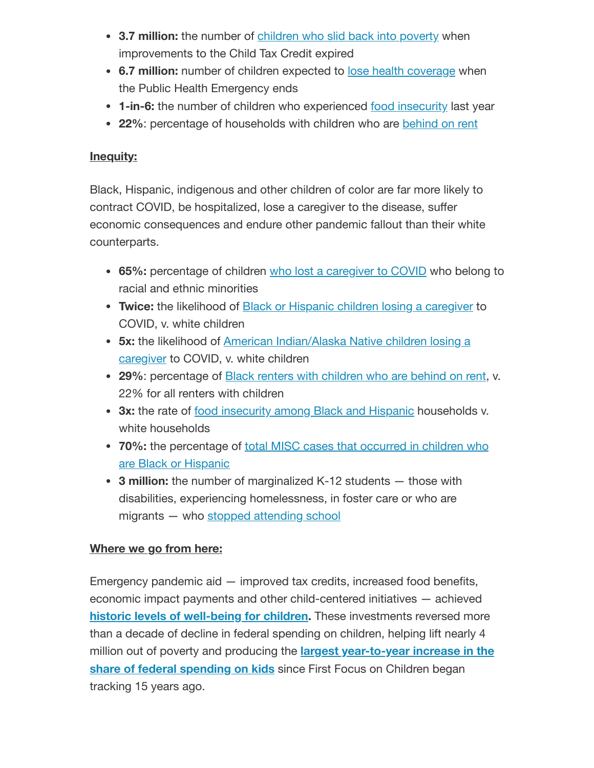- **3.7 million:** the number of [children](https://action.campaignforchildren.org/r?u=UmPwcm28_uDg6gTj_jN0OFQGFP1Darjs7xjyaWV7fPq31gIxt7SXaWsiMGDEAnqc2Pqj1LC59e08udMt5Y1GxUfYUL1qjkOsgNnCQqdWyBUQrA90GWAmJmJdawRXkpG0&e=6d50ef9bac605c372bd31a2e7c9cacfd&utm_source=ffcc&utm_medium=email&utm_campaign=_91_supporters&n=24&test_email=1) who slid back into poverty when improvements to the Child Tax Credit expired
- **6.7 million:** number of children expected to lose health [coverage](https://action.campaignforchildren.org/r?u=U2L0_uBLjBQxONEjRfD6PHbQ06P_OytcX8RqR1xUFzYbp343wvI_nvixSuIxi68SLAU47f9L0ij8KZbDHRduNyZlH71opkyZrmitUzNOFoGC3K5rD4yovDNv6kfnyAuQsfan32vXNOhVu2RHVT-ZG98MTrQDo3XuDBN23WXkY-MpvuAG-_tWBxnFiLvxcqHt&e=6d50ef9bac605c372bd31a2e7c9cacfd&utm_source=ffcc&utm_medium=email&utm_campaign=_91_supporters&n=25&test_email=1) when the Public Health Emergency ends
- **1-in-6:** the number of children who experienced food [insecurity](https://action.campaignforchildren.org/r?u=ZzibQ9Kgg6ftNGuhTM5ZDQZdTqG6a6Qc0iUZF1loYuunmvR5JqgKNcqp-yksJVlZRCEOxS4g3k_rX1TIZNGBlvXzHL3QkolpsWfii_YVNAAalYkBzAXDO1zLkpjy3nEKGiMM1UQA9NLjZEOR5Qbx8g&e=6d50ef9bac605c372bd31a2e7c9cacfd&utm_source=ffcc&utm_medium=email&utm_campaign=_91_supporters&n=26&test_email=1) last year
- **22%**: percentage of households with children who are [behind](https://action.campaignforchildren.org/r?u=BPqooxcYFIZ8rcOyAxj6Uax95wDlzL97bXercPCSjsaQc-iTewbx8MnEAZBgQmmgFyScGferyl9RMdaT-rxp9g&e=6d50ef9bac605c372bd31a2e7c9cacfd&utm_source=ffcc&utm_medium=email&utm_campaign=_91_supporters&n=27&test_email=1) on rent

#### **Inequity:**

Black, Hispanic, indigenous and other children of color are far more likely to contract COVID, be hospitalized, lose a caregiver to the disease, suffer economic consequences and endure other pandemic fallout than their white counterparts.

- **65%:** percentage of children who lost a [caregiver](https://action.campaignforchildren.org/r?u=EKKsC96leLUZzhX2680E7pSSvrWRjQx0ZGznO3Iu5JWFXxAmxL87c9Wxm4nHHPoyN0mm4fnN9T_wnCF3V5zxleFFs7kX9E_hJaX-J7ZAdTSm3OgO44PQkFAXMbhjA9GyHFBj8itMAE5HTrVwwEtG2RxiVBqpT6VVBi9KRPwE1PI&e=6d50ef9bac605c372bd31a2e7c9cacfd&utm_source=ffcc&utm_medium=email&utm_campaign=_91_supporters&n=28&test_email=1) to COVID who belong to racial and ethnic minorities
- **Twice:** the likelihood of Black or Hispanic children losing a [caregiver](https://action.campaignforchildren.org/r?u=EKKsC96leLUZzhX2680E7pSSvrWRjQx0ZGznO3Iu5JWFXxAmxL87c9Wxm4nHHPoyN0mm4fnN9T_wnCF3V5zxleFFs7kX9E_hJaX-J7ZAdTSm3OgO44PQkFAXMbhjA9GyHFBj8itMAE5HTrVwwEtG2RxiVBqpT6VVBi9KRPwE1PI&e=6d50ef9bac605c372bd31a2e7c9cacfd&utm_source=ffcc&utm_medium=email&utm_campaign=_91_supporters&n=29&test_email=1) to COVID, v. white children
- **5x:** the likelihood of American [Indian/Alaska](https://action.campaignforchildren.org/r?u=EKKsC96leLUZzhX2680E7pSSvrWRjQx0ZGznO3Iu5JWFXxAmxL87c9Wxm4nHHPoyN0mm4fnN9T_wnCF3V5zxleFFs7kX9E_hJaX-J7ZAdTSm3OgO44PQkFAXMbhjA9GyHFBj8itMAE5HTrVwwEtG2RxiVBqpT6VVBi9KRPwE1PI&e=6d50ef9bac605c372bd31a2e7c9cacfd&utm_source=ffcc&utm_medium=email&utm_campaign=_91_supporters&n=30&test_email=1) Native children losing a caregiver to COVID, v. white children
- **29%**: percentage of Black [renters with](https://action.campaignforchildren.org/r?u=4zJM-Y4ASJI_R6JF-F2ow_5GDOrgdsDVHwT5T5Qw2BHg-vbrNPK0MSyATEMCEYzDejDqaXz85UokH0mjOau7plahQZBDJ551vBuW5iY4YRGPeVY9rI9O84BbBFUE5SqYJzVfryjeiowwD1B0v-6meFmHbSRdpk1_r6Wnxzx-vwQ&e=6d50ef9bac605c372bd31a2e7c9cacfd&utm_source=ffcc&utm_medium=email&utm_campaign=_91_supporters&n=31&test_email=1) children who are behind on rent, v. 22% for all renters with children
- **3x:** the rate of food [insecurity among](https://action.campaignforchildren.org/r?u=kZ--hKxH8oXUM59qczNfwSiNtpC2Rb91v-o1KuVc1_W3D8-sxE6dkcorxBjPPG4a5Fky55qOnsnU9Eub7HKCGvziq4PFaAMEMpo1VVJGAU_ZsrEAPgB4QpIF8enMEZnvgn1Ofz4LcQlxs30puJ39GJYaEUzmFJHyPzvQeCO9ANs&e=6d50ef9bac605c372bd31a2e7c9cacfd&utm_source=ffcc&utm_medium=email&utm_campaign=_91_supporters&n=32&test_email=1) Black and Hispanic households v. white households
- **70%:** the [percentage](https://action.campaignforchildren.org/r?u=7Ho65PobbrrlpD_Ow9Pq_3y6Rl1ZYx2Sap7xXzPRZTBK0CEdgEbNaMBLq11of_RUHrFOmRJPcioFGR_1b0xtbkNI3smKw6vNTNbO4yFnLYjcLjF1u1fhyXlYQniMEfvah2d0VIOCROGfmXQ2BaE7O3-ww61Cm58Vnl7B02unL5U&e=6d50ef9bac605c372bd31a2e7c9cacfd&utm_source=ffcc&utm_medium=email&utm_campaign=_91_supporters&n=33&test_email=1) of total MISC cases that occurred in children who are Black or Hispanic
- **3 million:** the number of marginalized K-12 students those with disabilities, experiencing homelessness, in foster care or who are migrants — who stopped [attending](https://action.campaignforchildren.org/r?u=HtkaIypvWAboQzNA5605iU7wI0aGjovUU8h72jGPYhvx1eclXWn1znlA5yPWyZwIS6GxkGoj0fll84aMpMn3s4sybck8XjJxvewWR6-2CPivaZYqS4ShvayU8xI4nccK4vACTU6kRYd7mgZEjPsXUA&e=6d50ef9bac605c372bd31a2e7c9cacfd&utm_source=ffcc&utm_medium=email&utm_campaign=_91_supporters&n=34&test_email=1) school

#### **Where we go from here:**

Emergency pandemic aid — improved tax credits, increased food benefits, economic impact payments and other child-centered initiatives — achieved **historic levels of [well-being](https://action.campaignforchildren.org/r?u=Zn-t2gzc2kWpklGmO8vivuRFiXshYtpZJ4BT5tJu2CXz0Q6j74tMZk2wy3CmLm8-uSK2_BPSCO_VBfoCYO5-iwNEcKwFA-tyFnAxa6sgZF12SNf97epiCR7vJ7DgNog5BvI7k2ylctwnrSNPdqcZ5Q&e=6d50ef9bac605c372bd31a2e7c9cacfd&utm_source=ffcc&utm_medium=email&utm_campaign=_91_supporters&n=35&test_email=1) for children.** These investments reversed more than a decade of decline in federal spending on children, helping lift nearly 4 million out of poverty and producing the **largest [year-to-year](https://action.campaignforchildren.org/r?u=FzF-KU0ygDWc21UK_uySeqijjWkr_-QoXCqun0x-3_S7i8byIR4NQckA3RXQvnw3&e=6d50ef9bac605c372bd31a2e7c9cacfd&utm_source=ffcc&utm_medium=email&utm_campaign=_91_supporters&n=36&test_email=1) increase in the share of federal spending on kids** since First Focus on Children began tracking 15 years ago.